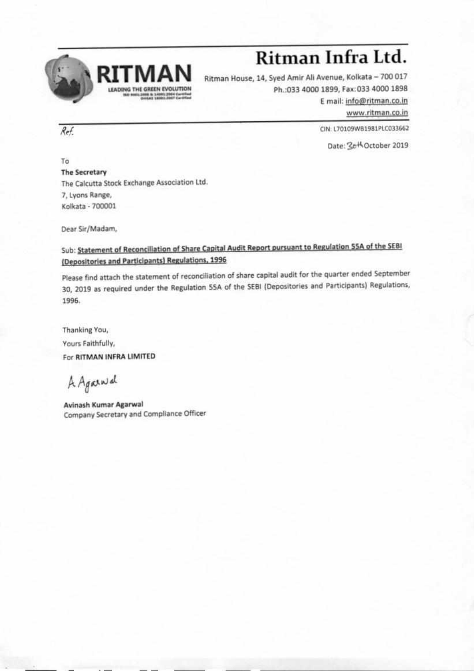

## **Ritman Infra Ltd.**

Ritman House, 14, Syed Amir All Avenue, Kolkata — 700 017 Ph.:033 4000 1899, Fax:033 4000 1898 E mail: info@ritman.co.in

www.ritman.co.in

 $Ref.$  CIN: L70109WB1981PLC033662

Date: 3th October 2019

To The Secretary The Calcutta Stock Exchange Association Ltd 7, Lyons Range, Kolkata - 700001

Dear Sir/Madam,

## Sub: Statement of Reconciliation of Share Capital Audit Report pursuant to Regulation SSA of the \$EBI (Depositories and Participants) Regulations, 1996

Please find attach the statement of reconciliation of share capital audit for the quarter ended September 30, 2019 as required under the Regulation SSA of the SEBI (Depositories and Participants) Regulations, 1996.

Thanking You, Yours Faithfully, For RITMAN INFRA LIMITED

A. Againsd

Avinash Kumar Agarwal Company Secretary and Compliance Officer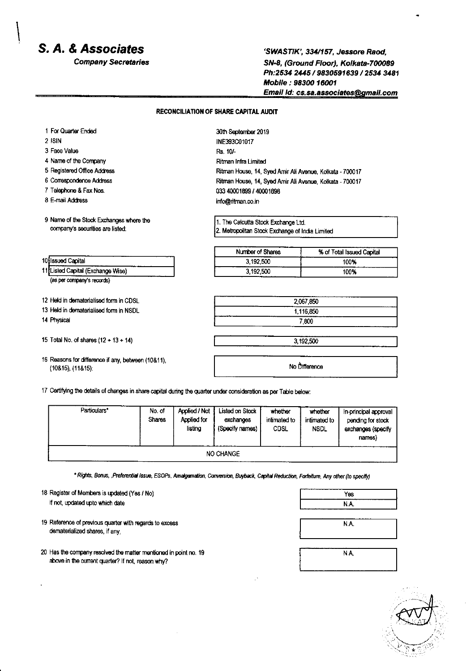## S. A. & Associates

**Company Secretaries** 

'SWASTIK', 334/157, Jessore Raod. SN-8, (Ground Floor), Kolkata-700089 Ph:2534 2445 / 9830591639 / 2534 3481 Mobile: 98300 16001 Email Id: cs.sa.associates@gmail.com

## **RECONCILIATION OF SHARE CAPITAL AUDIT**

| 1 For Quarter Ended                     | 30th September 2019                                      |                           |  |
|-----------------------------------------|----------------------------------------------------------|---------------------------|--|
| 2 ISIN                                  | INF393C01017                                             |                           |  |
| 3 Face Value                            | Rs. 10/-                                                 |                           |  |
| 4 Name of the Company                   | Ritman Infra Limited                                     |                           |  |
| 5 Registered Office Address             | Ritman House, 14, Syed Amir Ali Avenue, Kolkata - 700017 |                           |  |
| 6 Correspondence Address                | Ritman House, 14, Syed Amir Ali Avenue, Kolkata - 700017 |                           |  |
| 7 Telephone & Fax Nos.                  | 033 40001899 / 40001898                                  |                           |  |
| 8 E-mail Address                        | info@ritman.co.in                                        |                           |  |
| 9 Name of the Stock Exchanges where the | 1. The Calcutta Stock Exchange Ltd.                      |                           |  |
| company's securities are listed:        | 2. Metropolitan Stock Exchange of India Limited          |                           |  |
|                                         | Number of Shares                                         | % of Total Issued Capital |  |
| 10 Issued Capital                       | 3,192,500                                                | 100%                      |  |
| 11 Listed Capital (Exchange Wise)       | 3,192,500                                                | 100%                      |  |
| (as per company's records)              |                                                          |                           |  |
| 12 Held in dematerialised form in CDSL  | 2,067.850                                                |                           |  |
| 13 Held in dematerialised form in NSDL  | 1.116.850                                                |                           |  |
| 14 Physical                             | 7.800                                                    |                           |  |
| 15 Total No. of shares $(12 + 13 + 14)$ | 3,192,500                                                |                           |  |
|                                         | No Difference                                            |                           |  |

Particulars\* No. of **Applied / Not** Listed on Stock whether whether In-principal approval **Shares** Applied for exchanges intimated to intimated to pending for stock isting (Specify names) CDSL **NSDL** exchanges (specify names) NO CHANGE

\* Rights, Bonus, ,Preferential Issue, ESOPs, Amalgamation, Conversion, Buyback, Capital Reduction, Forfeiture, Any other (to specify)

18 Register of Members is updated (Yes / No) if not, updated upto which date

- 19 Reference of previous quarter with regards to excess dematerialized shares, if any,
- 20 Has the company resolved the matter mentioned in point no. 19 above in the current quarter? If not, reason why?

| Yes  |  |
|------|--|
| N.A. |  |
|      |  |
| N.A. |  |
|      |  |
|      |  |

N.A.